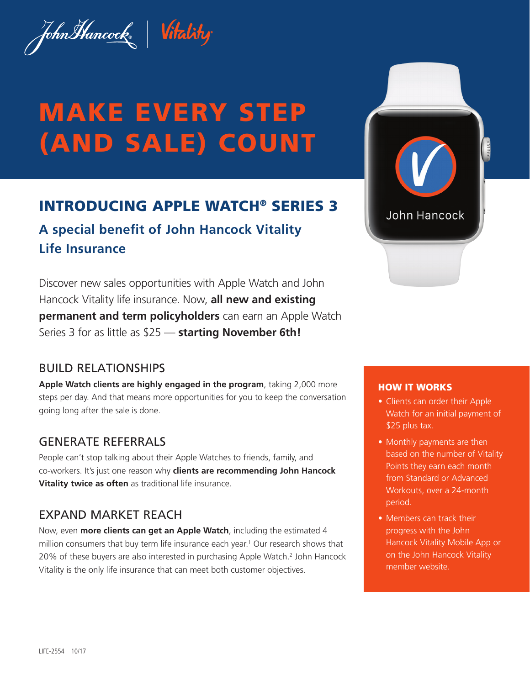

# MAKE EVERY STEP (AND SALE) COUNT

## INTRODUCING APPLE WATCH® SERIES 3

**A special benefit of John Hancock Vitality Life Insurance** 

Discover new sales opportunities with Apple Watch and John Hancock Vitality life insurance. Now, **all new and existing permanent and term policyholders** can earn an Apple Watch Series 3 for as little as \$25 — **starting November 6th!**

#### BUILD RELATIONSHIPS

**Apple Watch clients are highly engaged in the program**, taking 2,000 more steps per day. And that means more opportunities for you to keep the conversation going long after the sale is done.

#### GENERATE REFERRALS

People can't stop talking about their Apple Watches to friends, family, and co-workers. It's just one reason why **clients are recommending John Hancock Vitality twice as often** as traditional life insurance.

#### EXPAND MARKET REACH

Now, even **more clients can get an Apple Watch**, including the estimated 4 million consumers that buy term life insurance each year.<sup>1</sup> Our research shows that 20% of these buyers are also interested in purchasing Apple Watch.<sup>2</sup> John Hancock Vitality is the only life insurance that can meet both customer objectives.



#### HOW IT WORKS

- Clients can order their Apple Watch for an initial payment of \$25 plus tax.
- Monthly payments are then based on the number of Vitality Points they earn each month from Standard or Advanced Workouts, over a 24-month period.
- Members can track their progress with the John Hancock Vitality Mobile App or on the John Hancock Vitality member website.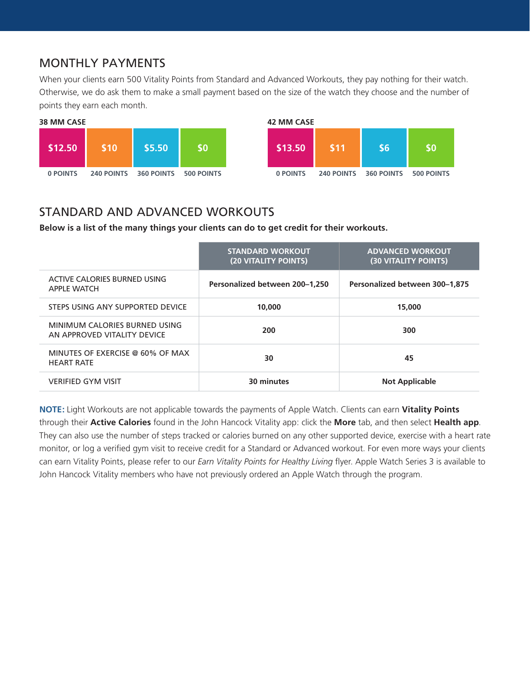### MONTHLY PAYMENTS

When your clients earn 500 Vitality Points from Standard and Advanced Workouts, they pay nothing for their watch. Otherwise, we do ask them to make a small payment based on the size of the watch they choose and the number of points they earn each month.



#### STANDARD AND ADVANCED WORKOUTS

**Below is a list of the many things your clients can do to get credit for their workouts.**

|                                                              | <b>STANDARD WORKOUT</b><br>(20 VITALITY POINTS) | <b>ADVANCED WORKOUT</b><br>(30 VITALITY POINTS) |
|--------------------------------------------------------------|-------------------------------------------------|-------------------------------------------------|
| ACTIVE CALORIES BURNED USING<br><b>APPLE WATCH</b>           | Personalized between 200-1.250                  | Personalized between 300-1,875                  |
| STEPS USING ANY SUPPORTED DEVICE                             | 10,000                                          | 15,000                                          |
| MINIMUM CALORIES BURNED USING<br>AN APPROVED VITALITY DEVICE | 200                                             | 300                                             |
| MINUTES OF EXERCISE @ 60% OF MAX<br><b>HEART RATE</b>        | 30                                              | 45                                              |
| <b>VERIFIED GYM VISIT</b>                                    | 30 minutes                                      | <b>Not Applicable</b>                           |

**NOTE:** Light Workouts are not applicable towards the payments of Apple Watch. Clients can earn **Vitality Points** through their **Active Calories** found in the John Hancock Vitality app: click the **More** tab, and then select **Health app**. They can also use the number of steps tracked or calories burned on any other supported device, exercise with a heart rate monitor, or log a verified gym visit to receive credit for a Standard or Advanced workout. For even more ways your clients can earn Vitality Points, please refer to our *Earn Vitality Points for Healthy Living* flyer. Apple Watch Series 3 is available to John Hancock Vitality members who have not previously ordered an Apple Watch through the program.